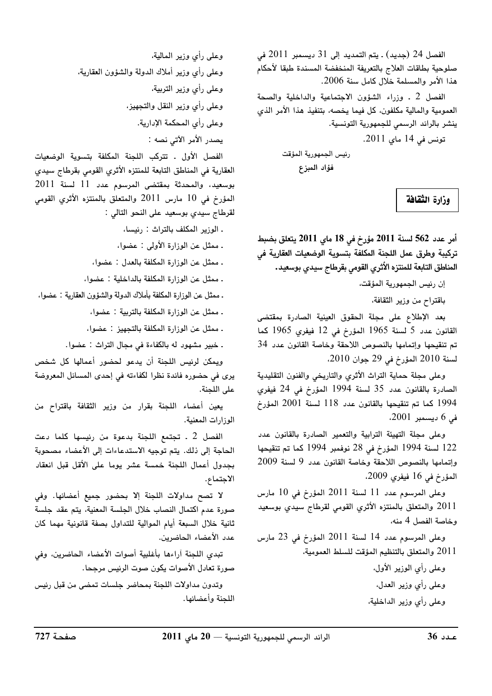الفصل 24 (جديد) . يتم التمديد إلى 31 ديسمبر 2011 في صلوحية بطاقات العلاج بالتعريفة المنخفضة المسندة طبقا لأحكام هذا الأمر والمسلمة خلال كامل سنة 2006.

الفصل 2 . وزراء الشؤون الاجتماعية والداخلية والصحة العمومية والمالية مكلفون، كل فيما يخصه، بتنفيذ هذا الأمر الذي ينشر بالرائد الرسمى للجمهورية التونسية.

تونس في 14 ماي 2011.

رئيس الجمهورية المؤقت فؤاد المبزع

وزارة الثقافة

أمر عدد 562 لسنة 2011 مؤرخ في 18 ماي 2011 يتعلق بضبط تركيبة وطرق عمل اللجنة المكلفة بتسوية الوضعيات العقارية فى المناطق التابعة للمنتزه الأثري القومى بقرطاج سيدي بوسعيد.

إن رئيس الجمهورية المؤقت،

باقتراح من وزير الثقافة،

بعد الإطلاع على مجلة الحقوق العينية الصادرة بمقتضى القانون عدد 5 لسنة 1965 المؤرخ في 12 فيفرى 1965 كما تم تنقيحها وإتمامها بالنصوص اللاحقة وخاصة القانون عدد 34 لسنة 2010 المؤرخ في 29 جوان 2010.

وعلى مجلة حماية التراث الأثري والتاريخي والفنون التقليدية الصادرة بالقانون عدد 35 لسنة 1994 المؤرخ في 24 فيفري 1994 كما تم تنقيحها بالقانون عدد 118 لسنة 2001 المؤرخ في 6 ديسمبر 2001،

وعلى مجلة التهيئة الترابية والتعمير الصادرة بالقانون عدد 122 لسنة 1994 المؤرخ في 28 نوفمبر 1994 كما تم تنقيحها وإتمامها بالنصوص اللاحقة وخاصة القانون عدد 9 لسنة 2009 المؤرخ في 16 فيفري 2009،

وعلى المرسوم عدد 11 لسنة 2011 المؤرخ في 10 مارس 2011 والمتعلق بالمنتزه الأثري القومى لقرطاج سيدي بوسعيد وخاصة الفصل 4 منه،

وعلى المرسوم عدد 14 لسنة 2011 المؤرخ في 23 مارس 2011 والمتعلق بالتنظيم المؤقت للسلط العمومية،

> وعلى رأي الوزير الأول، وعلى رأى وزير العدل، وعلى رأى وزير الداخلية،

وعلى رأي وزير المالية، وعلى رأى وزير أملاك الدولة والشؤون العقارية، وعلى رأى وزير التربية، وعلى رأى وزير النقل والتجهيز، وعلى رأى المحكمة الإدارية. يصدر الأمر الآتي نصه :

الفصل الأول ـ تتركب اللجنة المكلفة بتسوية الوضعيات العقارية في المناطق التابعة للمنتزه الأثري القومي بقرطاج سيدي بوسعيد، والمحدثة بمقتضى المرسوم عدد 11 لسنة 2011 المؤرخ في 10 مارس 2011 والمتعلق بالمنتزه الأثري القومي لقرطاج سيدى بوسعيد على النحو التالي :

. الوزير المكلف بالتراث : رئيسا، ـ ممثل عن الوزارة الأولى : عضوا، ـ ممثل عن الوزارة المكلفة بالعدل : عضوا، ـ ممثل عن الوزارة المكلفة بالداخلية : عضوا، ـ ممثل عن الوزارة المكلفة بأملاك الدولة والشؤون العقارية : عضوا، . ممثل عن الوزارة المكلفة بالتربية : عضوا، ـ ممثل عن الوزارة المكلفة بالتجهيز : عضوا،

. خبير مشهود له بالكفاءة في مجال التراث : عضوا.

ويمكن لرئيس اللجنة أن يدعو لحضور أعمالها كل شخص يرى في حضوره فائدة نظرا لكفاءته في إحدى المسائل المعروضة على اللجنة.

يعين أعضاء اللجنة بقرار من وزير الثقافة باقتراح من الوزارات المعنية.

الفصل 2 . تجتمع اللجنة بدعوة من رئيسها كلما دعت الحاجة إلى ذلك. يتم توجيه الاستدعاءات إلى الأعضاء مصحوبة بجدول أعمال اللجنة خمسة عشر يوما على الأقل قبل انعقاد الاجتماع.

لا تصح مداولات اللجنة إلا بحضور جميع أعضائها. وفي صورة عدم اكتمال النصاب خلال الجلسة المعنية، يتم عقد جلسة ثانية خلال السبعة أيام الموالية للتداول بصفة قانونية مهما كان عدد الأعضاء الحاضرين.

تبدى اللجنة أراءها بأغلبية أصوات الأعضاء الحاضرين، وفي صورة تعادل الأصوات يكون صوت الرئيس مرجحا.

وتدون مداولات اللجنة بمحاضر جلسات تمضى من قبل رئيس اللجنة وأعضائها.